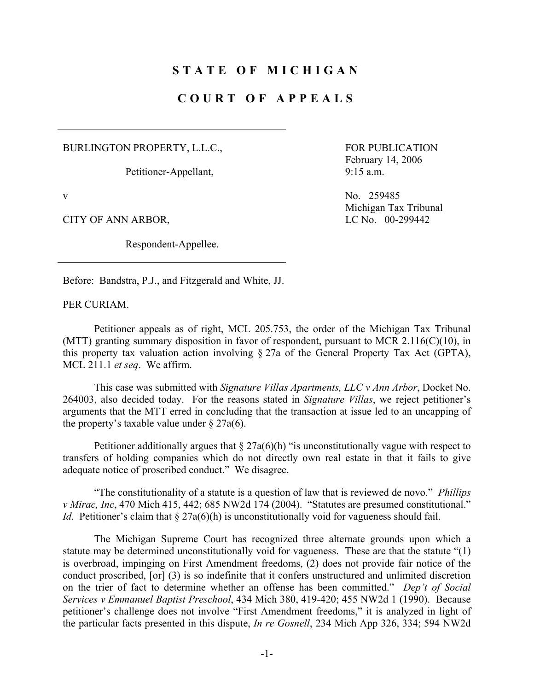## **STATE OF MICHIGAN**

## **COURT OF APPEALS**

BURLINGTON PROPERTY, L.L.C.,

Petitioner-Appellant,

CITY OF ANN ARBOR, LC No. 00-299442

Respondent-Appellee.

 FOR PUBLICATION February 14, 2006 9:15 a.m.

v No. 259485 Michigan Tax Tribunal

Before: Bandstra, P.J., and Fitzgerald and White, JJ.

PER CURIAM.

 Petitioner appeals as of right, MCL 205.753, the order of the Michigan Tax Tribunal (MTT) granting summary disposition in favor of respondent, pursuant to MCR 2.116(C)(10), in this property tax valuation action involving § 27a of the General Property Tax Act (GPTA), MCL 211.1 *et seq*. We affirm.

 This case was submitted with *Signature Villas Apartments, LLC v Ann Arbor*, Docket No. 264003, also decided today. For the reasons stated in *Signature Villas*, we reject petitioner's arguments that the MTT erred in concluding that the transaction at issue led to an uncapping of the property's taxable value under  $\S 27a(6)$ .

Petitioner additionally argues that  $\S 27a(6)(h)$  "is unconstitutionally vague with respect to transfers of holding companies which do not directly own real estate in that it fails to give adequate notice of proscribed conduct." We disagree.

 "The constitutionality of a statute is a question of law that is reviewed de novo." *Phillips v Mirac, Inc*, 470 Mich 415, 442; 685 NW2d 174 (2004). "Statutes are presumed constitutional." *Id.* Petitioner's claim that  $\S 27a(6)$ (h) is unconstitutionally void for vagueness should fail.

 The Michigan Supreme Court has recognized three alternate grounds upon which a statute may be determined unconstitutionally void for vagueness. These are that the statute "(1) is overbroad, impinging on First Amendment freedoms, (2) does not provide fair notice of the conduct proscribed, [or] (3) is so indefinite that it confers unstructured and unlimited discretion on the trier of fact to determine whether an offense has been committed." *Dep't of Social Services v Emmanuel Baptist Preschool*, 434 Mich 380, 419-420; 455 NW2d 1 (1990). Because petitioner's challenge does not involve "First Amendment freedoms," it is analyzed in light of the particular facts presented in this dispute, *In re Gosnell*, 234 Mich App 326, 334; 594 NW2d